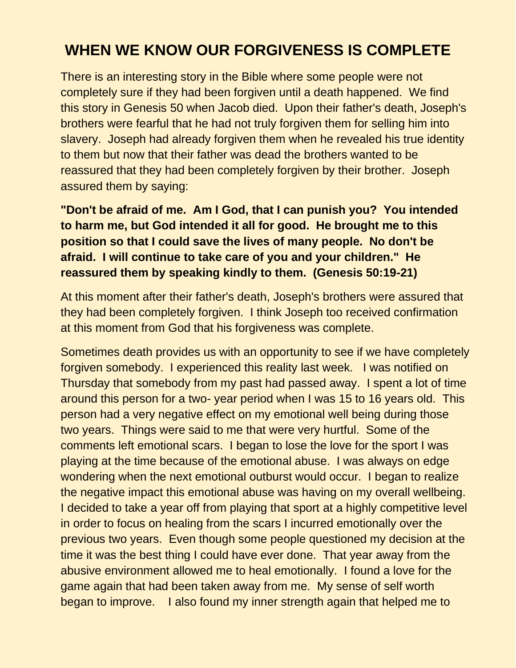## **WHEN WE KNOW OUR FORGIVENESS IS COMPLETE**

There is an interesting story in the Bible where some people were not completely sure if they had been forgiven until a death happened. We find this story in Genesis 50 when Jacob died. Upon their father's death, Joseph's brothers were fearful that he had not truly forgiven them for selling him into slavery. Joseph had already forgiven them when he revealed his true identity to them but now that their father was dead the brothers wanted to be reassured that they had been completely forgiven by their brother. Joseph assured them by saying:

**"Don't be afraid of me. Am I God, that I can punish you? You intended to harm me, but God intended it all for good. He brought me to this position so that I could save the lives of many people. No don't be afraid. I will continue to take care of you and your children." He reassured them by speaking kindly to them. (Genesis 50:19-21)**

At this moment after their father's death, Joseph's brothers were assured that they had been completely forgiven. I think Joseph too received confirmation at this moment from God that his forgiveness was complete.

Sometimes death provides us with an opportunity to see if we have completely forgiven somebody. I experienced this reality last week. I was notified on Thursday that somebody from my past had passed away. I spent a lot of time around this person for a two- year period when I was 15 to 16 years old. This person had a very negative effect on my emotional well being during those two years. Things were said to me that were very hurtful. Some of the comments left emotional scars. I began to lose the love for the sport I was playing at the time because of the emotional abuse. I was always on edge wondering when the next emotional outburst would occur. I began to realize the negative impact this emotional abuse was having on my overall wellbeing. I decided to take a year off from playing that sport at a highly competitive level in order to focus on healing from the scars I incurred emotionally over the previous two years. Even though some people questioned my decision at the time it was the best thing I could have ever done. That year away from the abusive environment allowed me to heal emotionally. I found a love for the game again that had been taken away from me. My sense of self worth began to improve. I also found my inner strength again that helped me to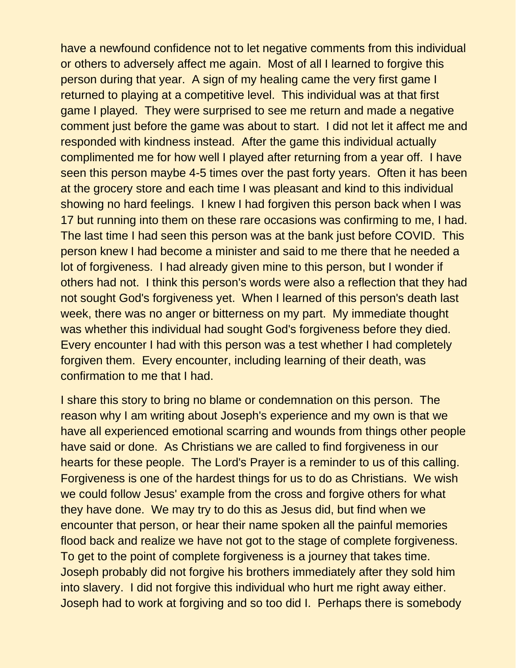have a newfound confidence not to let negative comments from this individual or others to adversely affect me again. Most of all I learned to forgive this person during that year. A sign of my healing came the very first game I returned to playing at a competitive level. This individual was at that first game I played. They were surprised to see me return and made a negative comment just before the game was about to start. I did not let it affect me and responded with kindness instead. After the game this individual actually complimented me for how well I played after returning from a year off. I have seen this person maybe 4-5 times over the past forty years. Often it has been at the grocery store and each time I was pleasant and kind to this individual showing no hard feelings. I knew I had forgiven this person back when I was 17 but running into them on these rare occasions was confirming to me, I had. The last time I had seen this person was at the bank just before COVID. This person knew I had become a minister and said to me there that he needed a lot of forgiveness. I had already given mine to this person, but I wonder if others had not. I think this person's words were also a reflection that they had not sought God's forgiveness yet. When I learned of this person's death last week, there was no anger or bitterness on my part. My immediate thought was whether this individual had sought God's forgiveness before they died. Every encounter I had with this person was a test whether I had completely forgiven them. Every encounter, including learning of their death, was confirmation to me that I had.

I share this story to bring no blame or condemnation on this person. The reason why I am writing about Joseph's experience and my own is that we have all experienced emotional scarring and wounds from things other people have said or done. As Christians we are called to find forgiveness in our hearts for these people. The Lord's Prayer is a reminder to us of this calling. Forgiveness is one of the hardest things for us to do as Christians. We wish we could follow Jesus' example from the cross and forgive others for what they have done. We may try to do this as Jesus did, but find when we encounter that person, or hear their name spoken all the painful memories flood back and realize we have not got to the stage of complete forgiveness. To get to the point of complete forgiveness is a journey that takes time. Joseph probably did not forgive his brothers immediately after they sold him into slavery. I did not forgive this individual who hurt me right away either. Joseph had to work at forgiving and so too did I. Perhaps there is somebody